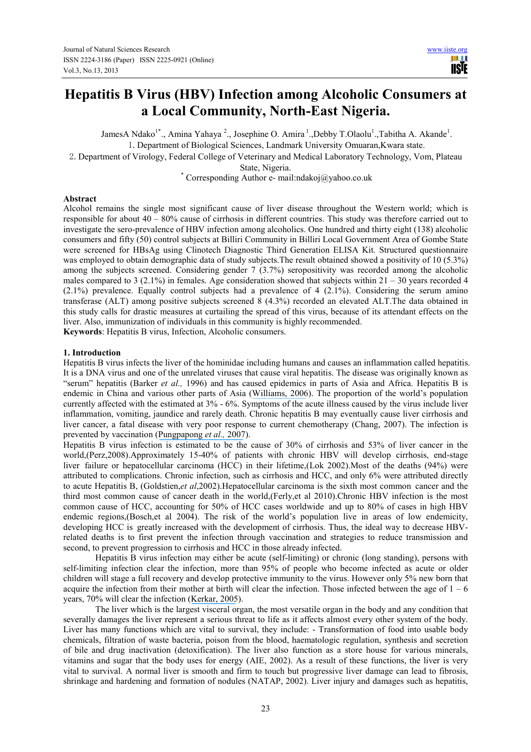m n **IISTE** 

# **Hepatitis B Virus (HBV) Infection among Alcoholic Consumers at a Local Community, North-East Nigeria.**

JamesA Ndako<sup>1\*</sup>., Amina Yahaya<sup>2</sup>., Josephine O. Amira<sup>1</sup>.,Debby T.Olaolu<sup>1</sup>.,Tabitha A. Akande<sup>1</sup>. 1.Department of Biological Sciences, Landmark University Omuaran,Kwara state.

2.Department of Virology, Federal College of Veterinary and Medical Laboratory Technology, Vom, Plateau

State, Nigeria.

\* Corresponding Author e- mail:ndakoj@yahoo.co.uk

## **Abstract**

Alcohol remains the single most significant cause of liver disease throughout the Western world; which is responsible for about 40 – 80% cause of cirrhosis in different countries. This study was therefore carried out to investigate the sero-prevalence of HBV infection among alcoholics. One hundred and thirty eight (138) alcoholic consumers and fifty (50) control subjects at Billiri Community in Billiri Local Government Area of Gombe State were screened for HBsAg using Clinotech Diagnostic Third Generation ELISA Kit. Structured questionnaire was employed to obtain demographic data of study subjects. The result obtained showed a positivity of 10 (5.3%) among the subjects screened. Considering gender 7  $(3.7%)$  seropositivity was recorded among the alcoholic males compared to 3 (2.1%) in females. Age consideration showed that subjects within  $21 - 30$  years recorded 4 (2.1%) prevalence. Equally control subjects had a prevalence of 4 (2.1%). Considering the serum amino transferase (ALT) among positive subjects screened 8 (4.3%) recorded an elevated ALT.The data obtained in this study calls for drastic measures at curtailing the spread of this virus, because of its attendant effects on the liver. Also, immunization of individuals in this community is highly recommended.

**Keywords**: Hepatitis B virus, Infection, Alcoholic consumers.

#### **1. Introduction**

Hepatitis B virus infects the liver of the hominidae including humans and causes an inflammation called hepatitis. It is a DNA virus and one of the unrelated viruses that cause viral hepatitis. The disease was originally known as "serum" hepatitis (Barker *et al.,* 1996) and has caused epidemics in parts of Asia and Africa. Hepatitis B is endemic in China and various other parts of Asia ([Williams, 2006](https://www.researchgate.net/publication/6846464_Global_changes_in_liver_disease?el=1_x_8&enrichId=rgreq-dc940943888ef0cd4758744e6d7cbea5-XXX&enrichSource=Y292ZXJQYWdlOzI4NTU4ODg1NTtBUzozMDI2MzU5ODUzNzUyMzNAMTQ0OTE2NTQ0OTUyMQ==)). The proportion of the world's population currently affected with the estimated at 3% - 6%. Symptoms of the acute illness caused by the virus include liver inflammation, vomiting, jaundice and rarely death. Chronic hepatitis B may eventually cause liver cirrhosis and liver cancer, a fatal disease with very poor response to current chemotherapy (Chang, 2007). The infection is prevented by vaccination ([Pungpapong](https://www.researchgate.net/publication/6166367_Natural_History_of_Hepatitis_B_Virus_Infection_An_Update_for_Clinicians?el=1_x_8&enrichId=rgreq-dc940943888ef0cd4758744e6d7cbea5-XXX&enrichSource=Y292ZXJQYWdlOzI4NTU4ODg1NTtBUzozMDI2MzU5ODUzNzUyMzNAMTQ0OTE2NTQ0OTUyMQ==) *et al.,* 2007).

Hepatitis B virus infection is estimated to be the cause of 30% of cirrhosis and 53% of liver cancer in the world,(Perz,2008).Approximately 15-40% of patients with chronic HBV will develop cirrhosis, end-stage liver failure or hepatocellular carcinoma (HCC) in their lifetime,(Lok 2002).Most of the deaths (94%) were attributed to complications. Chronic infection, such as cirrhosis and HCC, and only 6% were attributed directly to acute Hepatitis B, (Goldstien,*et al*,2002).Hepatocellular carcinoma is the sixth most common cancer and the third most common cause of cancer death in the world,(Ferly,et al 2010).Chronic HBV infection is the most common cause of HCC, accounting for 50% of HCC cases worldwide and up to 80% of cases in high HBV endemic regions,(Bosch,et al 2004). The risk of the world's population live in areas of low endemicity, developing HCC is greatly increased with the development of cirrhosis. Thus, the ideal way to decrease HBVrelated deaths is to first prevent the infection through vaccination and strategies to reduce transmission and second, to prevent progression to cirrhosis and HCC in those already infected.

 Hepatitis B virus infection may either be acute (self-limiting) or chronic (long standing), persons with self-limiting infection clear the infection, more than 95% of people who become infected as acute or older children will stage a full recovery and develop protective immunity to the virus. However only 5% new born that acquire the infection from their mother at birth will clear the infection. Those infected between the age of  $1 - 6$ years, 70% will clear the infection ([Kerkar, 2005](https://www.researchgate.net/publication/7588366_Hepatitis_B_in_children_Complexities_in_management?el=1_x_8&enrichId=rgreq-dc940943888ef0cd4758744e6d7cbea5-XXX&enrichSource=Y292ZXJQYWdlOzI4NTU4ODg1NTtBUzozMDI2MzU5ODUzNzUyMzNAMTQ0OTE2NTQ0OTUyMQ==)).

 The liver which is the largest visceral organ, the most versatile organ in the body and any condition that severally damages the liver represent a serious threat to life as it affects almost every other system of the body. Liver has many functions which are vital to survival, they include: - Transformation of food into usable body chemicals, filtration of waste bacteria, poison from the blood, haematologic regulation, synthesis and secretion of bile and drug inactivation (detoxification). The liver also function as a store house for various minerals, vitamins and sugar that the body uses for energy (AIE, 2002). As a result of these functions, the liver is very vital to survival. A normal liver is smooth and firm to touch but progressive liver damage can lead to fibrosis, shrinkage and hardening and formation of nodules (NATAP, 2002). Liver injury and damages such as hepatitis,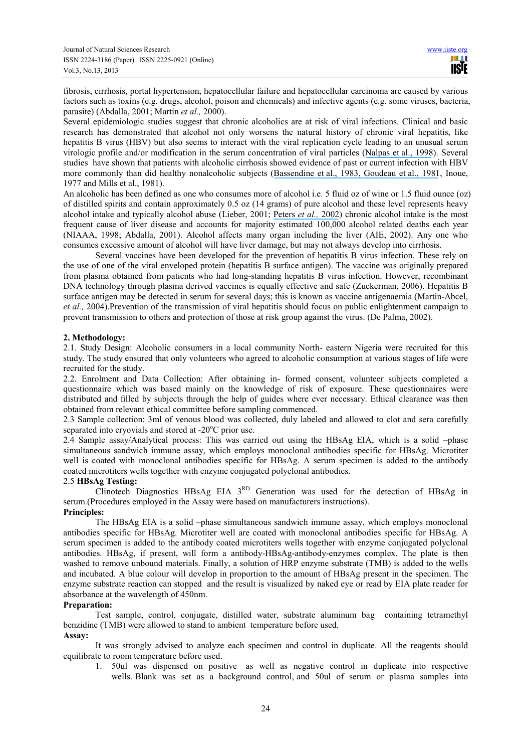fibrosis, cirrhosis, portal hypertension, hepatocellular failure and hepatocellular carcinoma are caused by various factors such as toxins (e.g. drugs, alcohol, poison and chemicals) and infective agents (e.g. some viruses, bacteria, parasite) (Abdalla, 2001; Martin *et al.,* 2000).

Several epidemiologic studies suggest that chronic alcoholics are at risk of viral infections. Clinical and basic research has demonstrated that alcohol not only worsens the natural history of chronic viral hepatitis, like hepatitis B virus (HBV) but also seems to interact with the viral replication cycle leading to an unusual serum virologic profile and/or modification in the serum concentration of viral particles ([Nalpas et al., 1998](https://www.researchgate.net/publication/298943245_Relationship_between_excessive_alcohol_drinking_and_viral_infections?el=1_x_8&enrichId=rgreq-dc940943888ef0cd4758744e6d7cbea5-XXX&enrichSource=Y292ZXJQYWdlOzI4NTU4ODg1NTtBUzozMDI2MzU5ODUzNzUyMzNAMTQ0OTE2NTQ0OTUyMQ==)). Several studies have shown that patients with alcoholic cirrhosis showed evidence of past or current infection with HBV more commonly than did healthy nonalcoholic subjects ([Bassendine et al., 1983](https://www.researchgate.net/publication/16322073_Incidence_of_hepatitis_B_virus_infection_in_alcoholic_liver_disease_HBsAg_negative_chronic_active_liver_disease_and_primary_liver_cancer_in_Britain?el=1_x_8&enrichId=rgreq-dc940943888ef0cd4758744e6d7cbea5-XXX&enrichSource=Y292ZXJQYWdlOzI4NTU4ODg1NTtBUzozMDI2MzU5ODUzNzUyMzNAMTQ0OTE2NTQ0OTUyMQ==)[, Goudeau et al., 1981](https://www.researchgate.net/publication/16933146_Hepatitis_B_infection_in_alcoholic_liver_disease_and_primary_hepatocellular_carcinoma_in_France?el=1_x_8&enrichId=rgreq-dc940943888ef0cd4758744e6d7cbea5-XXX&enrichSource=Y292ZXJQYWdlOzI4NTU4ODg1NTtBUzozMDI2MzU5ODUzNzUyMzNAMTQ0OTE2NTQ0OTUyMQ==), Inoue, 1977 and Mills et al., 1981).

An alcoholic has been defined as one who consumes more of alcohol i.e. 5 fluid oz of wine or 1.5 fluid ounce (oz) of distilled spirits and contain approximately 0.5 oz (14 grams) of pure alcohol and these level represents heavy alcohol intake and typically alcohol abuse (Lieber, 2001; [Peters](https://www.researchgate.net/publication/11056254_Alcohol_use_and_hepatitis_C?el=1_x_8&enrichId=rgreq-dc940943888ef0cd4758744e6d7cbea5-XXX&enrichSource=Y292ZXJQYWdlOzI4NTU4ODg1NTtBUzozMDI2MzU5ODUzNzUyMzNAMTQ0OTE2NTQ0OTUyMQ==) *et al.,* 2002) chronic alcohol intake is the most frequent cause of liver disease and accounts for majority estimated 100,000 alcohol related deaths each year (NIAAA, 1998; Abdalla, 2001). Alcohol affects many organ including the liver (AIE, 2002). Any one who consumes excessive amount of alcohol will have liver damage, but may not always develop into cirrhosis.

 Several vaccines have been developed for the prevention of hepatitis B virus infection. These rely on the use of one of the viral enveloped protein (hepatitis B surface antigen). The vaccine was originally prepared from plasma obtained from patients who had long-standing hepatitis B virus infection. However, recombinant DNA technology through plasma derived vaccines is equally effective and safe (Zuckerman, 2006). Hepatitis B surface antigen may be detected in serum for several days; this is known as vaccine antigenaemia (Martin-Abcel, *et al.,* 2004).Prevention of the transmission of viral hepatitis should focus on public enlightenment campaign to prevent transmission to others and protection of those at risk group against the virus. (De Palma, 2002).

## **2. Methodology:**

2.1. Study Design: Alcoholic consumers in a local community North- eastern Nigeria were recruited for this study. The study ensured that only volunteers who agreed to alcoholic consumption at various stages of life were recruited for the study.

2.2. Enrolment and Data Collection: After obtaining in- formed consent, volunteer subjects completed a questionnaire which was based mainly on the knowledge of risk of exposure. These questionnaires were distributed and filled by subjects through the help of guides where ever necessary. Ethical clearance was then obtained from relevant ethical committee before sampling commenced.

2.3 Sample collection: 3ml of venous blood was collected, duly labeled and allowed to clot and sera carefully separated into cryovials and stored at  $-20^{\circ}$ C prior use.

2.4 Sample assay/Analytical process: This was carried out using the HBsAg EIA, which is a solid –phase simultaneous sandwich immune assay, which employs monoclonal antibodies specific for HBsAg. Microtiter well is coated with monoclonal antibodies specific for HBsAg. A serum specimen is added to the antibody coated microtiters wells together with enzyme conjugated polyclonal antibodies.

#### 2.5 **HBsAg Testing:**

 Clinotech Diagnostics HBsAg EIA 3RD Generation was used for the detection of HBsAg in serum.(Procedures employed in the Assay were based on manufacturers instructions).

## **Principles:**

The HBsAg EIA is a solid –phase simultaneous sandwich immune assay, which employs monoclonal antibodies specific for HBsAg. Microtiter well are coated with monoclonal antibodies specific for HBsAg. A serum specimen is added to the antibody coated microtiters wells together with enzyme conjugated polyclonal antibodies. HBsAg, if present, will form a antibody-HBsAg-antibody-enzymes complex. The plate is then washed to remove unbound materials. Finally, a solution of HRP enzyme substrate (TMB) is added to the wells and incubated. A blue colour will develop in proportion to the amount of HBsAg present in the specimen. The enzyme substrate reaction can stopped and the result is visualized by naked eye or read by EIA plate reader for absorbance at the wavelength of 450nm.

## **Preparation:**

Test sample, control, conjugate, distilled water, substrate aluminum bag containing tetramethyl benzidine (TMB) were allowed to stand to ambient temperature before used. **Assay:** 

It was strongly advised to analyze each specimen and control in duplicate. All the reagents should equilibrate to room temperature before used.

1. 50ul was dispensed on positive as well as negative control in duplicate into respective wells. Blank was set as a background control, and 50ul of serum or plasma samples into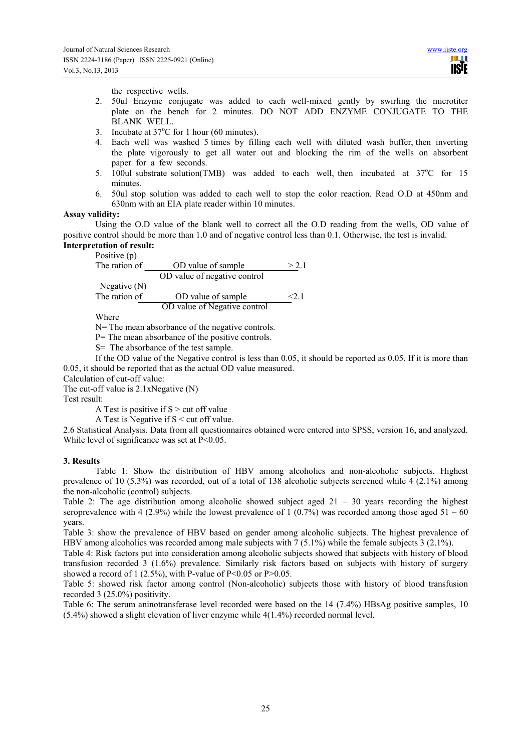the respective wells.

- 2. 50ul Enzyme conjugate was added to each well-mixed gently by swirling the microtiter plate on the bench for 2 minutes. DO NOT ADD ENZYME CONJUGATE TO THE BLANK WELL.
- 3. Incubate at  $37^{\circ}$ C for 1 hour (60 minutes).
- 4. Each well was washed 5 times by filling each well with diluted wash buffer, then inverting the plate vigorously to get all water out and blocking the rim of the wells on absorbent paper for a few seconds.
- 5. 100ul substrate solution(TMB) was added to each well, then incubated at  $37^{\circ}$ C for 15 minutes.
- 6. 50ul stop solution was added to each well to stop the color reaction. Read O.D at 450nm and 630nm with an EIA plate reader within 10 minutes.

#### **Assay validity:**

Using the O.D value of the blank well to correct all the O.D reading from the wells, OD value of positive control should be more than 1.0 and of negative control less than 0.1. Otherwise, the test is invalid. **Interpretation of result:** 

Positive  $(n)$ 

| The ration of<br>OD value of sample | > 2.1 |
|-------------------------------------|-------|
| OD value of negative control        |       |
| Negative $(N)$                      |       |
| The ration of<br>OD value of sample | <2 1  |
| OD value of Negative control        |       |

Where

N= The mean absorbance of the negative controls.

P= The mean absorbance of the positive controls.

S= The absorbance of the test sample.

If the OD value of the Negative control is less than 0.05, it should be reported as 0.05. If it is more than 0.05, it should be reported that as the actual OD value measured.

Calculation of cut-off value:

The cut-off value is 2.1xNegative (N)

Test result:

A Test is positive if  $S >$  cut off value

A Test is Negative if S < cut off value.

2.6 Statistical Analysis. Data from all questionnaires obtained were entered into SPSS, version 16, and analyzed. While level of significance was set at  $P<0.05$ .

#### **3. Results**

 Table 1: Show the distribution of HBV among alcoholics and non-alcoholic subjects. Highest prevalence of 10 (5.3%) was recorded, out of a total of 138 alcoholic subjects screened while 4 (2.1%) among the non-alcoholic (control) subjects.

Table 2: The age distribution among alcoholic showed subject aged  $21 - 30$  years recording the highest seroprevalence with 4 (2.9%) while the lowest prevalence of 1 (0.7%) was recorded among those aged  $51 - 60$ years.

Table 3: show the prevalence of HBV based on gender among alcoholic subjects. The highest prevalence of HBV among alcoholics was recorded among male subjects with 7 (5.1%) while the female subjects 3 (2.1%).

Table 4: Risk factors put into consideration among alcoholic subjects showed that subjects with history of blood transfusion recorded 3 (1.6%) prevalence. Similarly risk factors based on subjects with history of surgery showed a record of 1 (2.5%), with P-value of  $P<0.05$  or  $P>0.05$ .

Table 5: showed risk factor among control (Non-alcoholic) subjects those with history of blood transfusion recorded 3 (25.0%) positivity.

Table 6: The serum aninotransferase level recorded were based on the 14 (7.4%) HBsAg positive samples, 10 (5.4%) showed a slight elevation of liver enzyme while 4(1.4%) recorded normal level.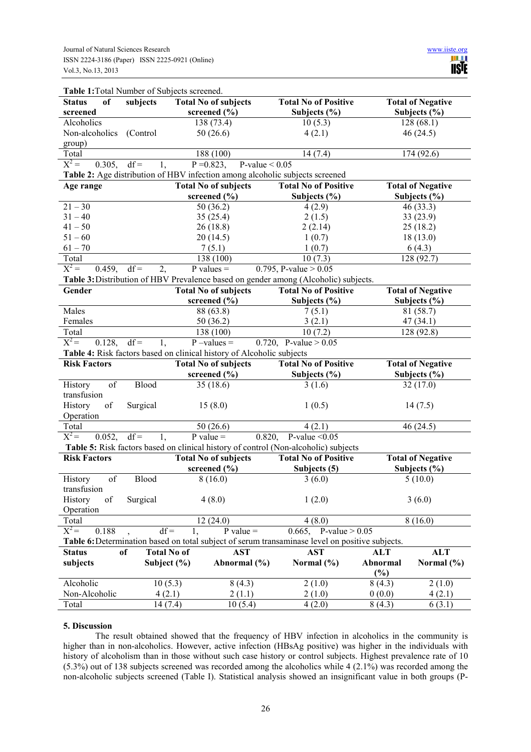| Table 1: Total Number of Subjects screened.                                                     |                                                 |                                             |                                              |  |
|-------------------------------------------------------------------------------------------------|-------------------------------------------------|---------------------------------------------|----------------------------------------------|--|
| <sub>of</sub><br>subjects<br><b>Status</b><br>screened                                          | <b>Total No of subjects</b><br>screened $(\% )$ | <b>Total No of Positive</b><br>Subjects (%) | <b>Total of Negative</b><br>Subjects $(\% )$ |  |
| Alcoholics                                                                                      | 138 (73.4)                                      | 10(5.3)                                     | 128(68.1)                                    |  |
| Non-alcoholics<br>(Control                                                                      | 50(26.6)                                        | 4(2.1)                                      | 46(24.5)                                     |  |
| group)                                                                                          |                                                 |                                             |                                              |  |
| Total                                                                                           | 188 (100)                                       | 14(7.4)                                     | 174 (92.6)                                   |  |
| $X^2 =$<br>0.305,<br>$df =$<br>1,                                                               | P-value $< 0.05$<br>$P = 0.823$ ,               |                                             |                                              |  |
| Table 2: Age distribution of HBV infection among alcoholic subjects screened                    |                                                 |                                             |                                              |  |
| Age range                                                                                       | <b>Total No of subjects</b>                     | <b>Total No of Positive</b>                 | <b>Total of Negative</b>                     |  |
|                                                                                                 | screened $(\% )$                                | Subjects (%)                                |                                              |  |
| $21 - 30$                                                                                       |                                                 |                                             | Subjects $(\% )$                             |  |
|                                                                                                 | 50(36.2)                                        | 4(2.9)                                      | 46(33.3)                                     |  |
| $31 - 40$                                                                                       | 35(25.4)                                        | 2(1.5)                                      | 33(23.9)                                     |  |
| $41 - 50$                                                                                       | 26(18.8)                                        | 2(2.14)                                     | 25(18.2)                                     |  |
| $51 - 60$                                                                                       | 20(14.5)                                        | 1(0.7)                                      | 18(13.0)                                     |  |
| $61 - 70$                                                                                       | 7(5.1)                                          | 1(0.7)                                      | 6(4.3)                                       |  |
| Total                                                                                           | 138 (100)                                       | 10(7.3)                                     | 128 (92.7)                                   |  |
| $X^2 =$<br>$df =$<br>0.459,<br>2,                                                               | $P$ values =                                    | 0.795, P-value $> 0.05$                     |                                              |  |
| Table 3: Distribution of HBV Prevalence based on gender among (Alcoholic) subjects.             |                                                 |                                             |                                              |  |
| Gender                                                                                          | <b>Total No of subjects</b>                     | <b>Total No of Positive</b>                 | <b>Total of Negative</b>                     |  |
|                                                                                                 | screened $(\% )$                                | Subjects $(\% )$                            | Subjects $(\% )$                             |  |
| Males                                                                                           | 88 (63.8)                                       | 7(5.1)                                      | 81 (58.7)                                    |  |
| Females                                                                                         | 50(36.2)                                        | 3(2.1)                                      | 47(34.1)                                     |  |
| Total                                                                                           | $\overline{1}38(100)$                           | 10(7.2)                                     | 128 (92.8)                                   |  |
| $X^2 =$<br>0.128,<br>$df =$<br>1,                                                               | $P$ -values =                                   | 0.720, P-value $> 0.05$                     |                                              |  |
| Table 4: Risk factors based on clinical history of Alcoholic subjects                           |                                                 |                                             |                                              |  |
| <b>Risk Factors</b>                                                                             | <b>Total No of subjects</b>                     | <b>Total No of Positive</b>                 | <b>Total of Negative</b>                     |  |
|                                                                                                 |                                                 |                                             |                                              |  |
|                                                                                                 |                                                 |                                             |                                              |  |
|                                                                                                 | screened $(\% )$                                | Subjects (%)                                | Subjects $(\% )$                             |  |
| of<br>Blood<br>History                                                                          | 35(18.6)                                        | 3(1.6)                                      | 32(17.0)                                     |  |
| transfusion                                                                                     |                                                 |                                             |                                              |  |
| History<br>Surgical<br>of                                                                       | 15(8.0)                                         | 1(0.5)                                      | 14(7.5)                                      |  |
| Operation                                                                                       |                                                 |                                             |                                              |  |
| Total                                                                                           | 50(26.6)                                        | 4(2.1)                                      | 46(24.5)                                     |  |
| $X^2 =$<br>0.052,<br>$df =$<br>1.                                                               | $P$ value =<br>0.820,                           | P-value $\leq 0.05$                         |                                              |  |
| Table 5: Risk factors based on clinical history of control (Non-alcoholic) subjects             |                                                 |                                             |                                              |  |
| <b>Risk Factors</b>                                                                             | <b>Total No of subjects</b>                     | <b>Total No of Positive</b>                 | <b>Total of Negative</b>                     |  |
| of<br><b>Blood</b><br>History                                                                   | screened $(\% )$<br>8(16.0)                     | Subjects (5)<br>3(6.0)                      | Subjects $(\% )$<br>5(10.0)                  |  |
| transfusion                                                                                     |                                                 |                                             |                                              |  |
| Surgical<br>History<br>of                                                                       | 4(8.0)                                          | 1(2.0)                                      | 3(6.0)                                       |  |
| Operation                                                                                       |                                                 |                                             |                                              |  |
| Total                                                                                           | 12(24.0)                                        | 4(8.0)                                      | 8(16.0)                                      |  |
| $X^2 =$<br>0.188<br>$df =$                                                                      | $P$ value =<br>1,                               | 0.665, P-value $> 0.05$                     |                                              |  |
| Table 6: Determination based on total subject of serum transaminase level on positive subjects. |                                                 |                                             |                                              |  |
| of<br><b>Status</b>                                                                             | <b>Total No of</b><br><b>AST</b>                | <b>AST</b>                                  | <b>ALT</b><br><b>ALT</b>                     |  |
|                                                                                                 |                                                 |                                             |                                              |  |
| subjects                                                                                        | Subject $(\% )$<br>Abnormal (%)                 | Normal $(\% )$                              | Normal $(\% )$<br>Abnormal                   |  |
|                                                                                                 |                                                 |                                             | $(\%)$                                       |  |
| Alcoholic<br>Non-Alcoholic                                                                      | 10(5.3)<br>8(4.3)<br>4(2.1)<br>2(1.1)           | 2(1.0)<br>2(1.0)                            | 8(4.3)<br>2(1.0)<br>0(0.0)<br>4(2.1)         |  |

#### **5. Discussion**

 The result obtained showed that the frequency of HBV infection in alcoholics in the community is higher than in non-alcoholics. However, active infection (HBsAg positive) was higher in the individuals with history of alcoholism than in those without such case history or control subjects. Highest prevalence rate of 10  $(5.3%)$  out of 138 subjects screened was recorded among the alcoholics while 4 (2.1%) was recorded among the non-alcoholic subjects screened (Table I). Statistical analysis showed an insignificant value in both groups (P-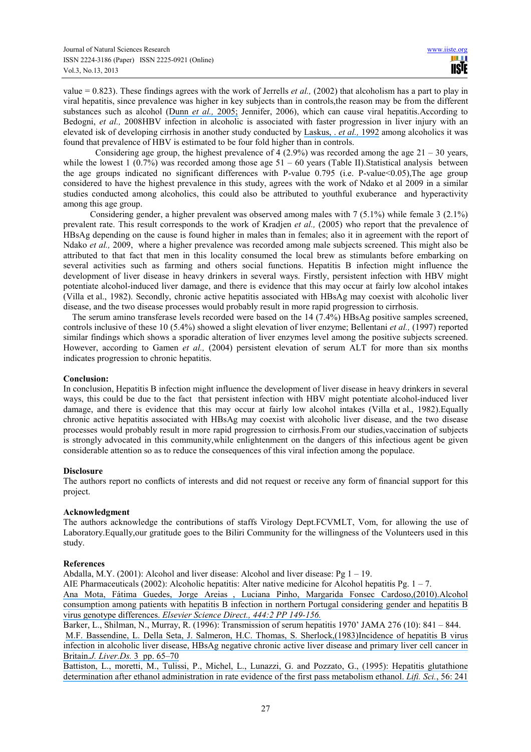value = 0.823). These findings agrees with the work of Jerrells *et al.,* (2002) that alcoholism has a part to play in viral hepatitis, since prevalence was higher in key subjects than in controls,the reason may be from the different substances such as alcohol (Dunn *et al.,* [2005;](https://www.researchgate.net/publication/8071824_MELD_accurately_predicts_mortality_in_patients_with_alcoholic_hepatitis?el=1_x_8&enrichId=rgreq-dc940943888ef0cd4758744e6d7cbea5-XXX&enrichSource=Y292ZXJQYWdlOzI4NTU4ODg1NTtBUzozMDI2MzU5ODUzNzUyMzNAMTQ0OTE2NTQ0OTUyMQ==) Jennifer, 2006), which can cause viral hepatitis.According to Bedogni, *et al.,* 2008HBV infection in alcoholic is associated with faster progression in liver injury with an elevated isk of developing cirrhosis in another study conducted by [Laskus, .](https://www.researchgate.net/publication/21831978_Laskus_T_et_al_Prevalence_of_markers_of_hepatitis_viruses_in_out-patient_alcoholics_J_Hepatol_15_174-178?el=1_x_8&enrichId=rgreq-dc940943888ef0cd4758744e6d7cbea5-XXX&enrichSource=Y292ZXJQYWdlOzI4NTU4ODg1NTtBUzozMDI2MzU5ODUzNzUyMzNAMTQ0OTE2NTQ0OTUyMQ==) *et al.,* 1992 among alcoholics it was found that prevalence of HBV is estimated to be four fold higher than in controls.

Considering age group, the highest prevalence of 4 (2.9%) was recorded among the age  $21 - 30$  years, while the lowest 1 (0.7%) was recorded among those age  $51 - 60$  years (Table II). Statistical analysis between the age groups indicated no significant differences with P-value 0.795 (i.e. P-value<0.05),The age group considered to have the highest prevalence in this study, agrees with the work of Ndako et al 2009 in a similar studies conducted among alcoholics, this could also be attributed to youthful exuberance and hyperactivity among this age group.

 Considering gender, a higher prevalent was observed among males with 7 (5.1%) while female 3 (2.1%) prevalent rate. This result corresponds to the work of Kradjen *et al.,* (2005) who report that the prevalence of HBsAg depending on the cause is found higher in males than in females; also it in agreement with the report of Ndako *et al.,* 2009, where a higher prevalence was recorded among male subjects screened. This might also be attributed to that fact that men in this locality consumed the local brew as stimulants before embarking on several activities such as farming and others social functions. Hepatitis B infection might influence the development of liver disease in heavy drinkers in several ways. Firstly, persistent infection with HBV might potentiate alcohol-induced liver damage, and there is evidence that this may occur at fairly low alcohol intakes (Villa et al., 1982). Secondly, chronic active hepatitis associated with HBsAg may coexist with alcoholic liver disease, and the two disease processes would probably result in more rapid progression to cirrhosis.

 The serum amino transferase levels recorded were based on the 14 (7.4%) HBsAg positive samples screened, controls inclusive of these 10 (5.4%) showed a slight elevation of liver enzyme; Bellentani *et al.,* (1997) reported similar findings which shows a sporadic alteration of liver enzymes level among the positive subjects screened. However, according to Gamen *et al.,* (2004) persistent elevation of serum ALT for more than six months indicates progression to chronic hepatitis.

#### **Conclusion:**

In conclusion, Hepatitis B infection might influence the development of liver disease in heavy drinkers in several ways, this could be due to the fact that persistent infection with HBV might potentiate alcohol-induced liver damage, and there is evidence that this may occur at fairly low alcohol intakes (Villa et al., 1982).Equally chronic active hepatitis associated with HBsAg may coexist with alcoholic liver disease, and the two disease processes would probably result in more rapid progression to cirrhosis.From our studies,vaccination of subjects is strongly advocated in this community,while enlightenment on the dangers of this infectious agent be given considerable attention so as to reduce the consequences of this viral infection among the populace.

## **Disclosure**

The authors report no conflicts of interests and did not request or receive any form of financial support for this project.

#### **Acknowledgment**

The authors acknowledge the contributions of staffs Virology Dept.FCVMLT, Vom, for allowing the use of Laboratory.Equally,our gratitude goes to the Biliri Community for the willingness of the Volunteers used in this study.

#### **References**

Abdalla, M.Y. (2001): Alcohol and liver disease: Alcohol and liver disease: Pg 1 – 19.

AIE Pharmaceuticals (2002): Alcoholic hepatitis: Alter native medicine for Alcohol hepatitis Pg. 1 – 7.

Ana Mota, Fátima Guedes, Jorge Areias [, Luciana Pinho, Margarida Fonsec Cardoso,\(2010\).Alcohol](https://www.researchgate.net/publication/41189283_Alcohol_consumption_among_patients_with_hepatitis_B_infection_in_northern_Portugal_considering_gender_and_hepatitis_B_virus_genotype_differences?el=1_x_8&enrichId=rgreq-dc940943888ef0cd4758744e6d7cbea5-XXX&enrichSource=Y292ZXJQYWdlOzI4NTU4ODg1NTtBUzozMDI2MzU5ODUzNzUyMzNAMTQ0OTE2NTQ0OTUyMQ==) [consumption among patients with hepatitis B infection in northern Portugal considering gender and hepatitis B](https://www.researchgate.net/publication/41189283_Alcohol_consumption_among_patients_with_hepatitis_B_infection_in_northern_Portugal_considering_gender_and_hepatitis_B_virus_genotype_differences?el=1_x_8&enrichId=rgreq-dc940943888ef0cd4758744e6d7cbea5-XXX&enrichSource=Y292ZXJQYWdlOzI4NTU4ODg1NTtBUzozMDI2MzU5ODUzNzUyMzNAMTQ0OTE2NTQ0OTUyMQ==) virus genotype differences. *[Elsevier Science Direct., 444:2 PP 149-156.](https://www.researchgate.net/publication/41189283_Alcohol_consumption_among_patients_with_hepatitis_B_infection_in_northern_Portugal_considering_gender_and_hepatitis_B_virus_genotype_differences?el=1_x_8&enrichId=rgreq-dc940943888ef0cd4758744e6d7cbea5-XXX&enrichSource=Y292ZXJQYWdlOzI4NTU4ODg1NTtBUzozMDI2MzU5ODUzNzUyMzNAMTQ0OTE2NTQ0OTUyMQ==)* 

Barker, L., Shilman, N., Murray, R. (1996): Transmission of serum hepatitis 1970' JAMA 276 (10): 841 – 844.

 [M.F. Bassendine, L. Della Seta, J. Salmeron, H.C. Thomas, S. Sherlock,\(1983\)Incidence of hepatitis B virus](https://www.researchgate.net/publication/16322073_Incidence_of_hepatitis_B_virus_infection_in_alcoholic_liver_disease_HBsAg_negative_chronic_active_liver_disease_and_primary_liver_cancer_in_Britain?el=1_x_8&enrichId=rgreq-dc940943888ef0cd4758744e6d7cbea5-XXX&enrichSource=Y292ZXJQYWdlOzI4NTU4ODg1NTtBUzozMDI2MzU5ODUzNzUyMzNAMTQ0OTE2NTQ0OTUyMQ==) [infection in alcoholic liver disease, HBsAg negative chronic active liver disease and primary liver cell cancer in](https://www.researchgate.net/publication/16322073_Incidence_of_hepatitis_B_virus_infection_in_alcoholic_liver_disease_HBsAg_negative_chronic_active_liver_disease_and_primary_liver_cancer_in_Britain?el=1_x_8&enrichId=rgreq-dc940943888ef0cd4758744e6d7cbea5-XXX&enrichSource=Y292ZXJQYWdlOzI4NTU4ODg1NTtBUzozMDI2MzU5ODUzNzUyMzNAMTQ0OTE2NTQ0OTUyMQ==) Britain.*J. Liver.Ds.* [3 pp. 65–70](https://www.researchgate.net/publication/16322073_Incidence_of_hepatitis_B_virus_infection_in_alcoholic_liver_disease_HBsAg_negative_chronic_active_liver_disease_and_primary_liver_cancer_in_Britain?el=1_x_8&enrichId=rgreq-dc940943888ef0cd4758744e6d7cbea5-XXX&enrichSource=Y292ZXJQYWdlOzI4NTU4ODg1NTtBUzozMDI2MzU5ODUzNzUyMzNAMTQ0OTE2NTQ0OTUyMQ==)

[Battiston, L., moretti, M., Tulissi, P., Michel, L., Lunazzi, G. and Pozzato, G., \(1995\): Hepatitis glutathione](https://www.researchgate.net/publication/15375003_Hepatic_glutathione_determination_after_ethanol_administration_in_rat_Evidence_of_the_first-pass_metabolism_of_ethanol?el=1_x_8&enrichId=rgreq-dc940943888ef0cd4758744e6d7cbea5-XXX&enrichSource=Y292ZXJQYWdlOzI4NTU4ODg1NTtBUzozMDI2MzU5ODUzNzUyMzNAMTQ0OTE2NTQ0OTUyMQ==) [determination after ethanol administration in rate evidence of the first pass metabolism ethanol.](https://www.researchgate.net/publication/15375003_Hepatic_glutathione_determination_after_ethanol_administration_in_rat_Evidence_of_the_first-pass_metabolism_of_ethanol?el=1_x_8&enrichId=rgreq-dc940943888ef0cd4758744e6d7cbea5-XXX&enrichSource=Y292ZXJQYWdlOzI4NTU4ODg1NTtBUzozMDI2MzU5ODUzNzUyMzNAMTQ0OTE2NTQ0OTUyMQ==) *Lifi. Sci.*, 56: 241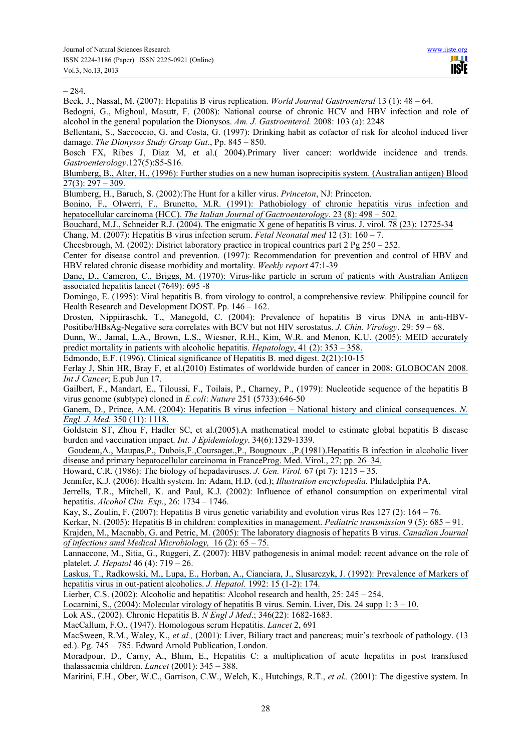– 284.

[Beck, J., Nassal, M. \(2007\): Hepatitis B virus replication.](https://www.researchgate.net/publication/6593982_Hepatitis_B_virus_replication?el=1_x_8&enrichId=rgreq-dc940943888ef0cd4758744e6d7cbea5-XXX&enrichSource=Y292ZXJQYWdlOzI4NTU4ODg1NTtBUzozMDI2MzU5ODUzNzUyMzNAMTQ0OTE2NTQ0OTUyMQ==) *World Journal Gastroenteral* 13 (1): 48 – 64.

Bedogni, G., Mighoul, Masutt, F. (2008): National course of chronic HCV and HBV infection and role of alcohol in the general population the Dionysos. *Am. J. Gastroenterol.* 2008: 103 (a): 2248

Bellentani, S., Saccoccio, G. and Costa, G. (1997): Drinking habit as cofactor of risk for alcohol induced liver damage. *The Dionysos Study Group Gut.*, Pp. 845 – 850.

Bosch FX, Ribes J, Diaz M, et al.( 2004).Primary liver cancer: worldwide incidence and trends. *Gastroenterology*.127(5):S5-S16.

[Blumberg, B., Alter, H., \(1996\): Further studies on a new human isoprecipitis system. \(Australian antigen\) Blood](https://www.researchgate.net/publication/17254995_Studies_on_a_new_human_isoprecipitin_system_Australia_antigen?el=1_x_8&enrichId=rgreq-dc940943888ef0cd4758744e6d7cbea5-XXX&enrichSource=Y292ZXJQYWdlOzI4NTU4ODg1NTtBUzozMDI2MzU5ODUzNzUyMzNAMTQ0OTE2NTQ0OTUyMQ==)  $27(3): 297 - 309.$ 

Blumberg, H., Baruch, S. (2002):The Hunt for a killer virus. *Princeton*, NJ: Princeton.

[Bonino, F., Olwerri, F., Brunetto, M.R. \(1991\): Pathobiology of chronic hepatitis virus infection and](https://www.researchgate.net/publication/21494938_Pathobiology_of_chronic_hepatitis_virus_infection_and_hepatocellular_carcinoma_HCC?el=1_x_8&enrichId=rgreq-dc940943888ef0cd4758744e6d7cbea5-XXX&enrichSource=Y292ZXJQYWdlOzI4NTU4ODg1NTtBUzozMDI2MzU5ODUzNzUyMzNAMTQ0OTE2NTQ0OTUyMQ==) hepatocellular carcinoma (HCC). *[The Italian Journal of Gactroenterology](https://www.researchgate.net/publication/21494938_Pathobiology_of_chronic_hepatitis_virus_infection_and_hepatocellular_carcinoma_HCC?el=1_x_8&enrichId=rgreq-dc940943888ef0cd4758744e6d7cbea5-XXX&enrichSource=Y292ZXJQYWdlOzI4NTU4ODg1NTtBUzozMDI2MzU5ODUzNzUyMzNAMTQ0OTE2NTQ0OTUyMQ==)*. 23 (8): 498 – 502.

[Bouchard, M.J., Schneider R.J. \(2004\). The enigmatic X gene of hepatitis B virus. J. virol. 78 \(23\): 12725-34](https://www.researchgate.net/publication/8183634_The_Enigmatic_X_Gene_of_Hepatitis_B_Virus?el=1_x_8&enrichId=rgreq-dc940943888ef0cd4758744e6d7cbea5-XXX&enrichSource=Y292ZXJQYWdlOzI4NTU4ODg1NTtBUzozMDI2MzU5ODUzNzUyMzNAMTQ0OTE2NTQ0OTUyMQ==) 

Chang, M. (2007): Hepatitis B virus infection serum. *Fetal Neonatal med* 12 (3): 160 – 7.

[Cheesbrough, M. \(2002\): District laboratory practice in tropical countries part 2 Pg 250 – 252.](https://www.researchgate.net/publication/284989487_District_laboratory_practice_in_tropical_countries?el=1_x_8&enrichId=rgreq-dc940943888ef0cd4758744e6d7cbea5-XXX&enrichSource=Y292ZXJQYWdlOzI4NTU4ODg1NTtBUzozMDI2MzU5ODUzNzUyMzNAMTQ0OTE2NTQ0OTUyMQ==)

Center for disease control and prevention. (1997): Recommendation for prevention and control of HBV and HBV related chronic disease morbidity and mortality. *Weekly report* 47:1-39

[Dane, D., Cameron, C., Briggs, M. \(1970\): Virus-like particle in serum of patients with Australian Antigen](https://www.researchgate.net/publication/18974772_Virus-Like_Particles_in_Serum_of_Patients_with_Australia-Antigen-Associated_Hepatitis?el=1_x_8&enrichId=rgreq-dc940943888ef0cd4758744e6d7cbea5-XXX&enrichSource=Y292ZXJQYWdlOzI4NTU4ODg1NTtBUzozMDI2MzU5ODUzNzUyMzNAMTQ0OTE2NTQ0OTUyMQ==) [associated hepatitis lancet \(7649\): 695 -8](https://www.researchgate.net/publication/18974772_Virus-Like_Particles_in_Serum_of_Patients_with_Australia-Antigen-Associated_Hepatitis?el=1_x_8&enrichId=rgreq-dc940943888ef0cd4758744e6d7cbea5-XXX&enrichSource=Y292ZXJQYWdlOzI4NTU4ODg1NTtBUzozMDI2MzU5ODUzNzUyMzNAMTQ0OTE2NTQ0OTUyMQ==) 

Domingo, E. (1995): Viral hepatitis B. from virology to control, a comprehensive review. Philippine council for Health Research and Development DOST. Pp. 146 – 162.

Drosten, Nippiiraschk, T., Manegold, C. (2004): Prevalence of hepatitis B virus DNA in anti-HBV-Positibe/HBsAg-Negative sera correlates with BCV but not HIV serostatus. *J. Chin. Virology*. 29: 59 – 68.

[Dunn, W., Jamal, L.A., Brown, L.S., Wiesner, R.H., Kim, W.R. and Menon, K.U. \(2005\): MEID accurately](https://www.researchgate.net/publication/8071824_MELD_accurately_predicts_mortality_in_patients_with_alcoholic_hepatitis?el=1_x_8&enrichId=rgreq-dc940943888ef0cd4758744e6d7cbea5-XXX&enrichSource=Y292ZXJQYWdlOzI4NTU4ODg1NTtBUzozMDI2MzU5ODUzNzUyMzNAMTQ0OTE2NTQ0OTUyMQ==)  [predict mortality in patients with alcoholic hepatitis.](https://www.researchgate.net/publication/8071824_MELD_accurately_predicts_mortality_in_patients_with_alcoholic_hepatitis?el=1_x_8&enrichId=rgreq-dc940943888ef0cd4758744e6d7cbea5-XXX&enrichSource=Y292ZXJQYWdlOzI4NTU4ODg1NTtBUzozMDI2MzU5ODUzNzUyMzNAMTQ0OTE2NTQ0OTUyMQ==) *Hepatology*, 41 (2): 353 – 358.

Edmondo, E.F. (1996). Clinical significance of Hepatitis B. med digest. 2(21):10-15

[Ferlay J, Shin HR, Bray F, et al.\(2010\) Estimates of worldwide burden of cancer in 2008: GLOBOCAN 2008.](https://www.researchgate.net/publication/281605876_Estimates_of_worldwide_burden_of_cancer_in_2008_GLOBOCAN?el=1_x_8&enrichId=rgreq-dc940943888ef0cd4758744e6d7cbea5-XXX&enrichSource=Y292ZXJQYWdlOzI4NTU4ODg1NTtBUzozMDI2MzU5ODUzNzUyMzNAMTQ0OTE2NTQ0OTUyMQ==)  *Int J Cancer*; E.pub Jun 17.

Gailbert, F., Mandart, E., Tiloussi, F., Toilais, P., Charney, P., (1979): Nucleotide sequence of the hepatitis B virus genome (subtype) cloned in *E.coli*: *Nature* 251 (5733):646-50

[Ganem, D., Prince, A.M. \(2004\): Hepatitis B virus infection – National history and clinical consequences.](https://www.researchgate.net/publication/6796374_Hepatitis_B_Virus_Infection_-_Natural_History_and_Clinical_Consequences?el=1_x_8&enrichId=rgreq-dc940943888ef0cd4758744e6d7cbea5-XXX&enrichSource=Y292ZXJQYWdlOzI4NTU4ODg1NTtBUzozMDI2MzU5ODUzNzUyMzNAMTQ0OTE2NTQ0OTUyMQ==) *N. Engl. J. Med.* [350 \(11\): 1118.](https://www.researchgate.net/publication/6796374_Hepatitis_B_Virus_Infection_-_Natural_History_and_Clinical_Consequences?el=1_x_8&enrichId=rgreq-dc940943888ef0cd4758744e6d7cbea5-XXX&enrichSource=Y292ZXJQYWdlOzI4NTU4ODg1NTtBUzozMDI2MzU5ODUzNzUyMzNAMTQ0OTE2NTQ0OTUyMQ==) 

Goldstein ST, Zhou F, Hadler SC, et al.(2005).A mathematical model to estimate global hepatitis B disease burden and vaccination impact. *Int. J Epidemiology*. 34(6):1329-1339.

 [Goudeau,A., Maupas,P., Dubois,F.,Coursaget.,P., Bougnoux .,P.\(1981\).Hepatitis B infection in alcoholic liver](https://www.researchgate.net/publication/16933146_Hepatitis_B_infection_in_alcoholic_liver_disease_and_primary_hepatocellular_carcinoma_in_France?el=1_x_8&enrichId=rgreq-dc940943888ef0cd4758744e6d7cbea5-XXX&enrichSource=Y292ZXJQYWdlOzI4NTU4ODg1NTtBUzozMDI2MzU5ODUzNzUyMzNAMTQ0OTE2NTQ0OTUyMQ==) [disease and primary hepatocellular carcinoma in FranceProg. Med. Virol., 27; pp. 26–34.](https://www.researchgate.net/publication/16933146_Hepatitis_B_infection_in_alcoholic_liver_disease_and_primary_hepatocellular_carcinoma_in_France?el=1_x_8&enrichId=rgreq-dc940943888ef0cd4758744e6d7cbea5-XXX&enrichSource=Y292ZXJQYWdlOzI4NTU4ODg1NTtBUzozMDI2MzU5ODUzNzUyMzNAMTQ0OTE2NTQ0OTUyMQ==) 

Howard, C.R. (1986): The biology of hepadaviruses. *J. Gen. Virol.* 67 (pt 7): 1215 – 35.

Jennifer, K.J. (2006): Health system. In: Adam, H.D. (ed.); *Illustration encyclopedia.* Philadelphia PA.

Jerrells, T.R., Mitchell, K. and Paul, K.J. (2002): Influence of ethanol consumption on experimental viral hepatitis. *Alcohol Clin. Exp.*, 26: 1734 – 1746.

Kay, S., Zoulin, F. (2007): Hepatitis B virus genetic variability and evolution virus Res 127 (2): 164 – 76.

[Kerkar, N. \(2005\): Hepatitis B in children: complexities in management.](https://www.researchgate.net/publication/7588366_Hepatitis_B_in_children_Complexities_in_management?el=1_x_8&enrichId=rgreq-dc940943888ef0cd4758744e6d7cbea5-XXX&enrichSource=Y292ZXJQYWdlOzI4NTU4ODg1NTtBUzozMDI2MzU5ODUzNzUyMzNAMTQ0OTE2NTQ0OTUyMQ==) *Pediatric transmission* 9 (5): 685 – 91.

[Krajden, M., Macnabb, G. and Petric, M. \(2005\): The laboratory diagnosis of hepatits B virus.](https://www.researchgate.net/publication/5688973_Laboratory_diagnosis_of_hepatitis_B_virus?el=1_x_8&enrichId=rgreq-dc940943888ef0cd4758744e6d7cbea5-XXX&enrichSource=Y292ZXJQYWdlOzI4NTU4ODg1NTtBUzozMDI2MzU5ODUzNzUyMzNAMTQ0OTE2NTQ0OTUyMQ==) *Canadian Journal [of infectious amd Medical Microbiology,](https://www.researchgate.net/publication/5688973_Laboratory_diagnosis_of_hepatitis_B_virus?el=1_x_8&enrichId=rgreq-dc940943888ef0cd4758744e6d7cbea5-XXX&enrichSource=Y292ZXJQYWdlOzI4NTU4ODg1NTtBUzozMDI2MzU5ODUzNzUyMzNAMTQ0OTE2NTQ0OTUyMQ==)* 16 (2): 65 – 75.

[Laskus, T., Radkowski, M., Lupa, E., Horban, A., Cianciara, J., Slusarczyk, J. \(1992\): Prevalence of Markers of](https://www.researchgate.net/publication/21831978_Laskus_T_et_al_Prevalence_of_markers_of_hepatitis_viruses_in_out-patient_alcoholics_J_Hepatol_15_174-178?el=1_x_8&enrichId=rgreq-dc940943888ef0cd4758744e6d7cbea5-XXX&enrichSource=Y292ZXJQYWdlOzI4NTU4ODg1NTtBUzozMDI2MzU5ODUzNzUyMzNAMTQ0OTE2NTQ0OTUyMQ==) [hepatitis virus in out-patient alcoholics.](https://www.researchgate.net/publication/21831978_Laskus_T_et_al_Prevalence_of_markers_of_hepatitis_viruses_in_out-patient_alcoholics_J_Hepatol_15_174-178?el=1_x_8&enrichId=rgreq-dc940943888ef0cd4758744e6d7cbea5-XXX&enrichSource=Y292ZXJQYWdlOzI4NTU4ODg1NTtBUzozMDI2MzU5ODUzNzUyMzNAMTQ0OTE2NTQ0OTUyMQ==) *J. Hepatol.* 1992: 15 (1-2): 174.

Lierber, C.S. (2002): Alcoholic and hepatitis: Alcohol research and health, 25: 245 – 254.

[Locarnini, S., \(2004\): Molecular virology of hepatitis B virus. Semin. Liver, Dis. 24 supp 1: 3 – 10.](https://www.researchgate.net/publication/8514221_Molecular_Virology_of_Hepatitis_B_Virus?el=1_x_8&enrichId=rgreq-dc940943888ef0cd4758744e6d7cbea5-XXX&enrichSource=Y292ZXJQYWdlOzI4NTU4ODg1NTtBUzozMDI2MzU5ODUzNzUyMzNAMTQ0OTE2NTQ0OTUyMQ==) 

Lok AS., (2002). Chronic Hepatitis B. *N Engl J Med*.; 346(22): 1682-1683.

[MacCallum, F.O., \(1947\). Homologous serum Hepatitis.](https://www.researchgate.net/publication/47585571_Homologous_Serum_Hepatitis?el=1_x_8&enrichId=rgreq-dc940943888ef0cd4758744e6d7cbea5-XXX&enrichSource=Y292ZXJQYWdlOzI4NTU4ODg1NTtBUzozMDI2MzU5ODUzNzUyMzNAMTQ0OTE2NTQ0OTUyMQ==) *Lancet* 2, 691

MacSween, R.M., Waley, K., *et al.,* (2001): Liver, Biliary tract and pancreas; muir's textbook of pathology. (13 ed.). Pg. 745 – 785. Edward Arnold Publication, London.

Moradpour, D., Carny, A., Bhim, E., Hepatitis C: a multiplication of acute hepatitis in post transfused thalassaemia children. *Lancet* (2001): 345 – 388.

Maritini, F.H., Ober, W.C., Garrison, C.W., Welch, K., Hutchings, R.T., *et al.,* (2001): The digestive system. In

Lannaccone, M., Sitia, G., Ruggeri, Z. (2007): HBV pathogenesis in animal model: recent advance on the role of platelet. *J. Hepatol* 46 (4): 719 – 26.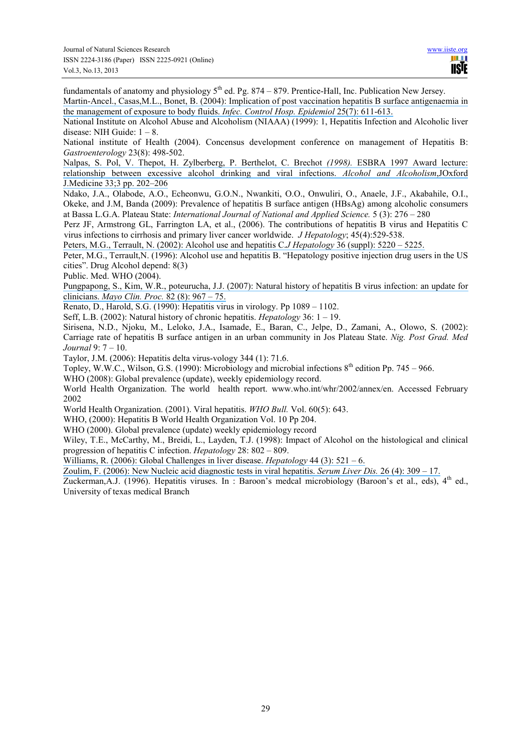fundamentals of anatomy and physiology  $5<sup>th</sup>$  ed. Pg. 874 – 879. Prentice-Hall, Inc. Publication New Jersey.

[Martin-Ancel., Casas,M.L., Bonet, B. \(2004\): Implication of post vaccination hepatitis B surface antigenaemia in](https://www.researchgate.net/publication/8410217_Implications_of_Postvaccination_Hepatitis_B_Surface_Antigenemia_in_the_Management_of_Exposures_to_Body_Fluids?el=1_x_8&enrichId=rgreq-dc940943888ef0cd4758744e6d7cbea5-XXX&enrichSource=Y292ZXJQYWdlOzI4NTU4ODg1NTtBUzozMDI2MzU5ODUzNzUyMzNAMTQ0OTE2NTQ0OTUyMQ==) [the management of exposure to body fluids.](https://www.researchgate.net/publication/8410217_Implications_of_Postvaccination_Hepatitis_B_Surface_Antigenemia_in_the_Management_of_Exposures_to_Body_Fluids?el=1_x_8&enrichId=rgreq-dc940943888ef0cd4758744e6d7cbea5-XXX&enrichSource=Y292ZXJQYWdlOzI4NTU4ODg1NTtBUzozMDI2MzU5ODUzNzUyMzNAMTQ0OTE2NTQ0OTUyMQ==) *Infec. Control Hosp. Epidemiol* 25(7): 611-613.

National Institute on Alcohol Abuse and Alcoholism (NIAAA) (1999): 1, Hepatitis Infection and Alcoholic liver disease: NIH Guide:  $1 - 8$ .

National institute of Health (2004). Concensus development conference on management of Hepatitis B: *Gastroenterology* 23(8): 498-502.

[Nalpas, S. Pol, V. Thepot, H. Zylberberg, P. Berthelot, C. Brechot](https://www.researchgate.net/publication/298943245_Relationship_between_excessive_alcohol_drinking_and_viral_infections?el=1_x_8&enrichId=rgreq-dc940943888ef0cd4758744e6d7cbea5-XXX&enrichSource=Y292ZXJQYWdlOzI4NTU4ODg1NTtBUzozMDI2MzU5ODUzNzUyMzNAMTQ0OTE2NTQ0OTUyMQ==) *(1998).* ESBRA 1997 Award lecture: [relationship between excessive alcohol drinking and viral infections.](https://www.researchgate.net/publication/298943245_Relationship_between_excessive_alcohol_drinking_and_viral_infections?el=1_x_8&enrichId=rgreq-dc940943888ef0cd4758744e6d7cbea5-XXX&enrichSource=Y292ZXJQYWdlOzI4NTU4ODg1NTtBUzozMDI2MzU5ODUzNzUyMzNAMTQ0OTE2NTQ0OTUyMQ==) *Alcohol and Alcoholism*,JOxford [J.Medicine 33;3 pp. 202–206](https://www.researchgate.net/publication/298943245_Relationship_between_excessive_alcohol_drinking_and_viral_infections?el=1_x_8&enrichId=rgreq-dc940943888ef0cd4758744e6d7cbea5-XXX&enrichSource=Y292ZXJQYWdlOzI4NTU4ODg1NTtBUzozMDI2MzU5ODUzNzUyMzNAMTQ0OTE2NTQ0OTUyMQ==) 

Ndako, J.A., Olabode, A.O., Echeonwu, G.O.N., Nwankiti, O.O., Onwuliri, O., Anaele, J.F., Akabahile, O.I., Okeke, and J.M, Banda (2009): Prevalence of hepatitis B surface antigen (HBsAg) among alcoholic consumers at Bassa L.G.A. Plateau State: *International Journal of National and Applied Science.* 5 (3): 276 – 280

Perz JF, Armstrong GL, Farrington LA, et al., (2006). The contributions of hepatitis B virus and Hepatitis C virus infections to cirrhosis and primary liver cancer worldwide. *J Hepatology*; 45(4):529-538.

[Peters, M.G., Terrault, N. \(2002\): Alcohol use and hepatitis C.](https://www.researchgate.net/publication/11056254_Alcohol_use_and_hepatitis_C?el=1_x_8&enrichId=rgreq-dc940943888ef0cd4758744e6d7cbea5-XXX&enrichSource=Y292ZXJQYWdlOzI4NTU4ODg1NTtBUzozMDI2MzU5ODUzNzUyMzNAMTQ0OTE2NTQ0OTUyMQ==)*J Hepatology* 36 (suppl): 5220 – 5225.

Peter, M.G., Terrault,N. (1996): Alcohol use and hepatitis B. "Hepatology positive injection drug users in the US cities". Drug Alcohol depend: 8(3)

Public. Med. WHO (2004).

[Pungpapong, S., Kim, W.R., poteurucha, J.J. \(2007\): Natural history of hepatitis B virus infection: an update for](https://www.researchgate.net/publication/6166367_Natural_History_of_Hepatitis_B_Virus_Infection_An_Update_for_Clinicians?el=1_x_8&enrichId=rgreq-dc940943888ef0cd4758744e6d7cbea5-XXX&enrichSource=Y292ZXJQYWdlOzI4NTU4ODg1NTtBUzozMDI2MzU5ODUzNzUyMzNAMTQ0OTE2NTQ0OTUyMQ==)  clinicians. *[Mayo Clin. Proc.](https://www.researchgate.net/publication/6166367_Natural_History_of_Hepatitis_B_Virus_Infection_An_Update_for_Clinicians?el=1_x_8&enrichId=rgreq-dc940943888ef0cd4758744e6d7cbea5-XXX&enrichSource=Y292ZXJQYWdlOzI4NTU4ODg1NTtBUzozMDI2MzU5ODUzNzUyMzNAMTQ0OTE2NTQ0OTUyMQ==)* 82 (8): 967 – 75.

Renato, D., Harold, S.G. (1990): Hepatitis virus in virology. Pp 1089 – 1102.

Seff, L.B. (2002): Natural history of chronic hepatitis. *Hepatology* 36: 1 – 19.

Sirisena, N.D., Njoku, M., Leloko, J.A., Isamade, E., Baran, C., Jelpe, D., Zamani, A., Olowo, S. (2002): Carriage rate of hepatitis B surface antigen in an urban community in Jos Plateau State. *Nig. Post Grad. Med Journal* 9: 7 – 10.

Taylor, J.M. (2006): Hepatitis delta virus-vology 344 (1): 71.6.

Topley, W.W.C., Wilson, G.S. (1990): Microbiology and microbial infections 8<sup>th</sup> edition Pp. 745 – 966.

WHO (2008): Global prevalence (update), weekly epidemiology record.

World Health Organization. The world health report. www.who.int/whr/2002/annex/en. Accessed February 2002

World Health Organization. (2001). Viral hepatitis. *WHO Bull.* Vol. 60(5): 643.

WHO, (2000): Hepatitis B World Health Organization Vol. 10 Pp 204.

WHO (2000). Global prevalence (update) weekly epidemiology record

Wiley, T.E., McCarthy, M., Breidi, L., Layden, T.J. (1998): Impact of Alcohol on the histological and clinical progression of hepatitis C infection. *Hepatology* 28: 802 – 809.

[Williams, R. \(2006\): Global Challenges in liver disease.](https://www.researchgate.net/publication/6846464_Global_changes_in_liver_disease?el=1_x_8&enrichId=rgreq-dc940943888ef0cd4758744e6d7cbea5-XXX&enrichSource=Y292ZXJQYWdlOzI4NTU4ODg1NTtBUzozMDI2MzU5ODUzNzUyMzNAMTQ0OTE2NTQ0OTUyMQ==) *Hepatology* 44 (3): 521 – 6.

[Zoulim, F. \(2006\): New Nucleic acid diagnostic tests in viral hepatitis.](https://www.researchgate.net/publication/6745253_New_Nucleic_Acid_Diagnostic_Tests_in_Viral_Hepatitis?el=1_x_8&enrichId=rgreq-dc940943888ef0cd4758744e6d7cbea5-XXX&enrichSource=Y292ZXJQYWdlOzI4NTU4ODg1NTtBUzozMDI2MzU5ODUzNzUyMzNAMTQ0OTE2NTQ0OTUyMQ==) *Serum Liver Dis.* 26 (4): 309 – 17.

Zuckerman,A.J. (1996). Hepatitis viruses. In: Baroon's medcal microbiology (Baroon's et al., eds), 4<sup>th</sup> ed., University of texas medical Branch